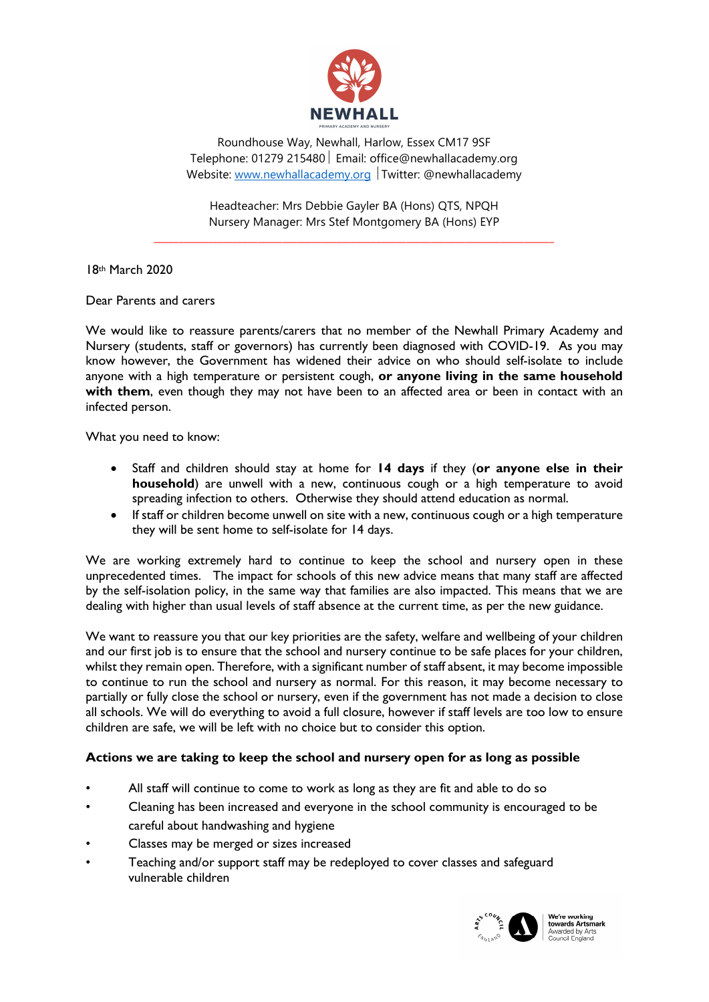

Roundhouse Way, Newhall, Harlow, Essex CM17 9SF Telephone: 01279 215480 | Email: office@newhallacademy.org Website: www.newhallacademy.org | Twitter: @newhallacademy

Headteacher: Mrs Debbie Gayler BA (Hons) QTS, NPQH Nursery Manager: Mrs Stef Montgomery BA (Hons) EYP

\_\_\_\_\_\_\_\_\_\_\_\_\_\_\_\_\_\_\_\_\_\_\_\_\_\_\_\_\_\_\_\_\_\_\_\_\_\_\_\_\_\_\_\_\_\_\_\_\_\_\_\_\_\_\_\_\_\_\_\_\_\_\_\_\_\_\_\_\_\_\_\_\_\_\_\_\_\_\_\_\_

18th March 2020

Dear Parents and carers

We would like to reassure parents/carers that no member of the Newhall Primary Academy and Nursery (students, staff or governors) has currently been diagnosed with COVID-19. As you may know however, the Government has widened their advice on who should self-isolate to include anyone with a high temperature or persistent cough, or anyone living in the same household with them, even though they may not have been to an affected area or been in contact with an infected person.

What you need to know:

- Staff and children should stay at home for 14 days if they (or anyone else in their household) are unwell with a new, continuous cough or a high temperature to avoid spreading infection to others. Otherwise they should attend education as normal.
- If staff or children become unwell on site with a new, continuous cough or a high temperature they will be sent home to self-isolate for 14 days.

We are working extremely hard to continue to keep the school and nursery open in these unprecedented times. The impact for schools of this new advice means that many staff are affected by the self-isolation policy, in the same way that families are also impacted. This means that we are dealing with higher than usual levels of staff absence at the current time, as per the new guidance.

We want to reassure you that our key priorities are the safety, welfare and wellbeing of your children and our first job is to ensure that the school and nursery continue to be safe places for your children, whilst they remain open. Therefore, with a significant number of staff absent, it may become impossible to continue to run the school and nursery as normal. For this reason, it may become necessary to partially or fully close the school or nursery, even if the government has not made a decision to close all schools. We will do everything to avoid a full closure, however if staff levels are too low to ensure children are safe, we will be left with no choice but to consider this option.

## Actions we are taking to keep the school and nursery open for as long as possible

- All staff will continue to come to work as long as they are fit and able to do so
- Cleaning has been increased and everyone in the school community is encouraged to be careful about handwashing and hygiene
- Classes may be merged or sizes increased
- Teaching and/or support staff may be redeployed to cover classes and safeguard vulnerable children



We're working **The Working<br>Towards Artsmark**<br>Awarded by Arts<br>Council England